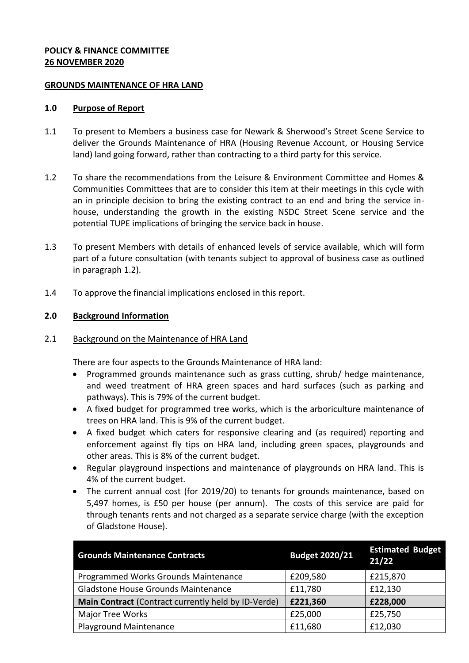### **POLICY & FINANCE COMMITTEE 26 NOVEMBER 2020**

#### **GROUNDS MAINTENANCE OF HRA LAND**

#### **1.0 Purpose of Report**

- 1.1 To present to Members a business case for Newark & Sherwood's Street Scene Service to deliver the Grounds Maintenance of HRA (Housing Revenue Account, or Housing Service land) land going forward, rather than contracting to a third party for this service.
- 1.2 To share the recommendations from the Leisure & Environment Committee and Homes & Communities Committees that are to consider this item at their meetings in this cycle with an in principle decision to bring the existing contract to an end and bring the service inhouse, understanding the growth in the existing NSDC Street Scene service and the potential TUPE implications of bringing the service back in house.
- 1.3 To present Members with details of enhanced levels of service available, which will form part of a future consultation (with tenants subject to approval of business case as outlined in paragraph 1.2).
- 1.4 To approve the financial implications enclosed in this report.

## **2.0 Background Information**

### 2.1 Background on the Maintenance of HRA Land

There are four aspects to the Grounds Maintenance of HRA land:

- Programmed grounds maintenance such as grass cutting, shrub/ hedge maintenance, and weed treatment of HRA green spaces and hard surfaces (such as parking and pathways). This is 79% of the current budget.
- A fixed budget for programmed tree works, which is the arboriculture maintenance of trees on HRA land. This is 9% of the current budget.
- A fixed budget which caters for responsive clearing and (as required) reporting and enforcement against fly tips on HRA land, including green spaces, playgrounds and other areas. This is 8% of the current budget.
- Regular playground inspections and maintenance of playgrounds on HRA land. This is 4% of the current budget.
- The current annual cost (for 2019/20) to tenants for grounds maintenance, based on 5,497 homes, is £50 per house (per annum). The costs of this service are paid for through tenants rents and not charged as a separate service charge (with the exception of Gladstone House).

| <b>Grounds Maintenance Contracts</b>                | <b>Budget 2020/21</b> | <b>Estimated Budget</b><br>21/22 |
|-----------------------------------------------------|-----------------------|----------------------------------|
| Programmed Works Grounds Maintenance                | £209,580              | £215,870                         |
| Gladstone House Grounds Maintenance                 | £11,780               | £12,130                          |
| Main Contract (Contract currently held by ID-Verde) | £221,360              | £228,000                         |
| <b>Major Tree Works</b>                             | £25,000               | £25,750                          |
| Playground Maintenance                              | £11,680               | £12,030                          |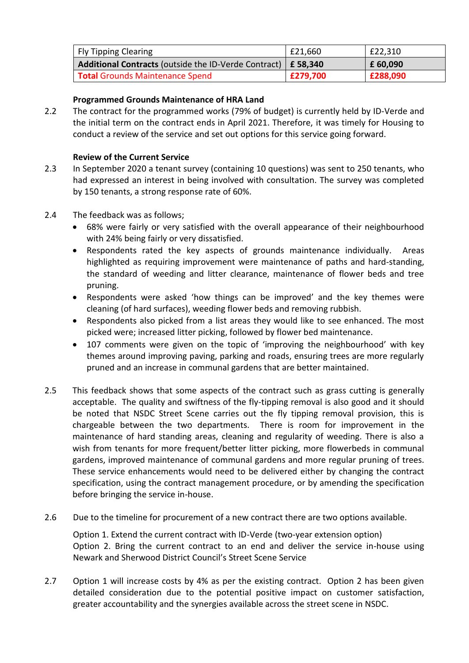| <b>Fly Tipping Clearing</b>                                            | £21,660  | £22,310  |
|------------------------------------------------------------------------|----------|----------|
| <b>Additional Contracts</b> (outside the ID-Verde Contract)   £ 58,340 |          | £ 60,090 |
| Total Grounds Maintenance Spend                                        | £279,700 | £288,090 |

# **Programmed Grounds Maintenance of HRA Land**

2.2 The contract for the programmed works (79% of budget) is currently held by ID-Verde and the initial term on the contract ends in April 2021. Therefore, it was timely for Housing to conduct a review of the service and set out options for this service going forward.

# **Review of the Current Service**

- 2.3 In September 2020 a tenant survey (containing 10 questions) was sent to 250 tenants, who had expressed an interest in being involved with consultation. The survey was completed by 150 tenants, a strong response rate of 60%.
- 2.4 The feedback was as follows;
	- 68% were fairly or very satisfied with the overall appearance of their neighbourhood with 24% being fairly or very dissatisfied.
	- Respondents rated the key aspects of grounds maintenance individually. Areas highlighted as requiring improvement were maintenance of paths and hard-standing, the standard of weeding and litter clearance, maintenance of flower beds and tree pruning.
	- Respondents were asked 'how things can be improved' and the key themes were cleaning (of hard surfaces), weeding flower beds and removing rubbish.
	- Respondents also picked from a list areas they would like to see enhanced. The most picked were; increased litter picking, followed by flower bed maintenance.
	- 107 comments were given on the topic of 'improving the neighbourhood' with key themes around improving paving, parking and roads, ensuring trees are more regularly pruned and an increase in communal gardens that are better maintained.
- 2.5 This feedback shows that some aspects of the contract such as grass cutting is generally acceptable. The quality and swiftness of the fly-tipping removal is also good and it should be noted that NSDC Street Scene carries out the fly tipping removal provision, this is chargeable between the two departments. There is room for improvement in the maintenance of hard standing areas, cleaning and regularity of weeding. There is also a wish from tenants for more frequent/better litter picking, more flowerbeds in communal gardens, improved maintenance of communal gardens and more regular pruning of trees. These service enhancements would need to be delivered either by changing the contract specification, using the contract management procedure, or by amending the specification before bringing the service in-house.
- 2.6 Due to the timeline for procurement of a new contract there are two options available.

Option 1. Extend the current contract with ID-Verde (two-year extension option) Option 2. Bring the current contract to an end and deliver the service in-house using Newark and Sherwood District Council's Street Scene Service

2.7 Option 1 will increase costs by 4% as per the existing contract. Option 2 has been given detailed consideration due to the potential positive impact on customer satisfaction, greater accountability and the synergies available across the street scene in NSDC.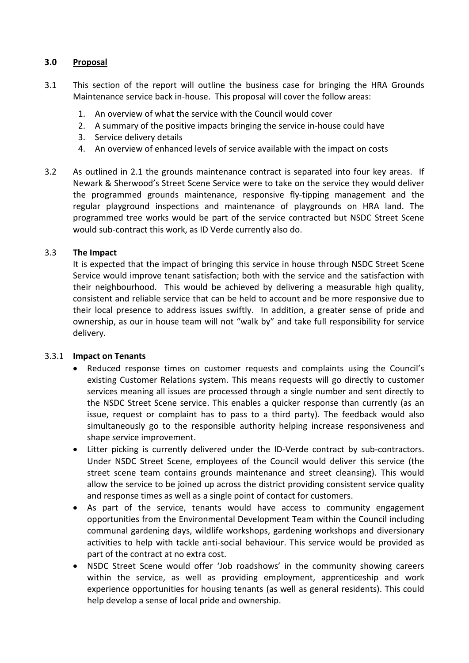## **3.0 Proposal**

- 3.1 This section of the report will outline the business case for bringing the HRA Grounds Maintenance service back in-house. This proposal will cover the follow areas:
	- 1. An overview of what the service with the Council would cover
	- 2. A summary of the positive impacts bringing the service in-house could have
	- 3. Service delivery details
	- 4. An overview of enhanced levels of service available with the impact on costs
- 3.2 As outlined in 2.1 the grounds maintenance contract is separated into four key areas. If Newark & Sherwood's Street Scene Service were to take on the service they would deliver the programmed grounds maintenance, responsive fly-tipping management and the regular playground inspections and maintenance of playgrounds on HRA land. The programmed tree works would be part of the service contracted but NSDC Street Scene would sub-contract this work, as ID Verde currently also do.

### 3.3 **The Impact**

It is expected that the impact of bringing this service in house through NSDC Street Scene Service would improve tenant satisfaction; both with the service and the satisfaction with their neighbourhood. This would be achieved by delivering a measurable high quality, consistent and reliable service that can be held to account and be more responsive due to their local presence to address issues swiftly. In addition, a greater sense of pride and ownership, as our in house team will not "walk by" and take full responsibility for service delivery.

### 3.3.1 **Impact on Tenants**

- Reduced response times on customer requests and complaints using the Council's existing Customer Relations system. This means requests will go directly to customer services meaning all issues are processed through a single number and sent directly to the NSDC Street Scene service. This enables a quicker response than currently (as an issue, request or complaint has to pass to a third party). The feedback would also simultaneously go to the responsible authority helping increase responsiveness and shape service improvement.
- Litter picking is currently delivered under the ID-Verde contract by sub-contractors. Under NSDC Street Scene, employees of the Council would deliver this service (the street scene team contains grounds maintenance and street cleansing). This would allow the service to be joined up across the district providing consistent service quality and response times as well as a single point of contact for customers.
- As part of the service, tenants would have access to community engagement opportunities from the Environmental Development Team within the Council including communal gardening days, wildlife workshops, gardening workshops and diversionary activities to help with tackle anti-social behaviour. This service would be provided as part of the contract at no extra cost.
- NSDC Street Scene would offer 'Job roadshows' in the community showing careers within the service, as well as providing employment, apprenticeship and work experience opportunities for housing tenants (as well as general residents). This could help develop a sense of local pride and ownership.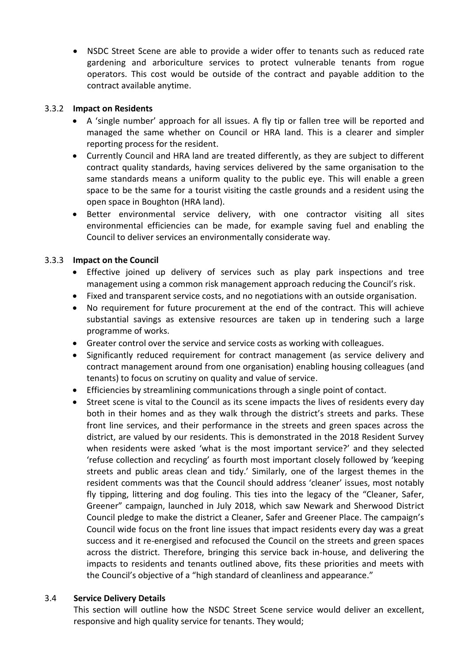NSDC Street Scene are able to provide a wider offer to tenants such as reduced rate gardening and arboriculture services to protect vulnerable tenants from rogue operators. This cost would be outside of the contract and payable addition to the contract available anytime.

## 3.3.2 **Impact on Residents**

- A 'single number' approach for all issues. A fly tip or fallen tree will be reported and managed the same whether on Council or HRA land. This is a clearer and simpler reporting process for the resident.
- Currently Council and HRA land are treated differently, as they are subject to different contract quality standards, having services delivered by the same organisation to the same standards means a uniform quality to the public eye. This will enable a green space to be the same for a tourist visiting the castle grounds and a resident using the open space in Boughton (HRA land).
- Better environmental service delivery, with one contractor visiting all sites environmental efficiencies can be made, for example saving fuel and enabling the Council to deliver services an environmentally considerate way.

# 3.3.3 **Impact on the Council**

- Effective joined up delivery of services such as play park inspections and tree management using a common risk management approach reducing the Council's risk.
- Fixed and transparent service costs, and no negotiations with an outside organisation.
- No requirement for future procurement at the end of the contract. This will achieve substantial savings as extensive resources are taken up in tendering such a large programme of works.
- Greater control over the service and service costs as working with colleagues.
- Significantly reduced requirement for contract management (as service delivery and contract management around from one organisation) enabling housing colleagues (and tenants) to focus on scrutiny on quality and value of service.
- Efficiencies by streamlining communications through a single point of contact.
- Street scene is vital to the Council as its scene impacts the lives of residents every day both in their homes and as they walk through the district's streets and parks. These front line services, and their performance in the streets and green spaces across the district, are valued by our residents. This is demonstrated in the 2018 Resident Survey when residents were asked 'what is the most important service?' and they selected 'refuse collection and recycling' as fourth most important closely followed by 'keeping streets and public areas clean and tidy.' Similarly, one of the largest themes in the resident comments was that the Council should address 'cleaner' issues, most notably fly tipping, littering and dog fouling. This ties into the legacy of the "Cleaner, Safer, Greener" campaign, launched in July 2018, which saw Newark and Sherwood District Council pledge to make the district a Cleaner, Safer and Greener Place. The campaign's Council wide focus on the front line issues that impact residents every day was a great success and it re-energised and refocused the Council on the streets and green spaces across the district. Therefore, bringing this service back in-house, and delivering the impacts to residents and tenants outlined above, fits these priorities and meets with the Council's objective of a "high standard of cleanliness and appearance."

# 3.4 **Service Delivery Details**

This section will outline how the NSDC Street Scene service would deliver an excellent, responsive and high quality service for tenants. They would;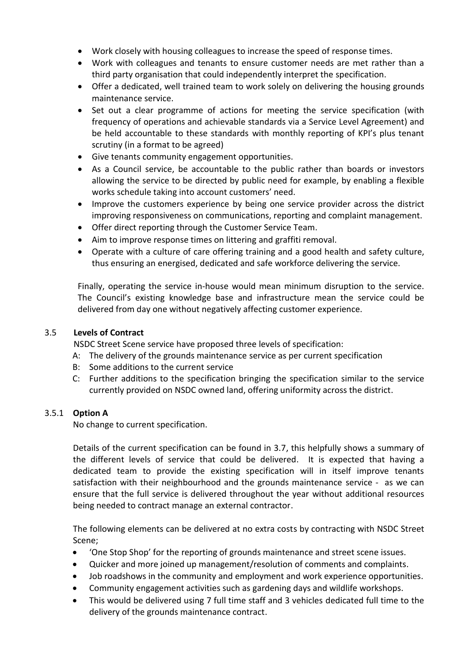- Work closely with housing colleagues to increase the speed of response times.
- Work with colleagues and tenants to ensure customer needs are met rather than a third party organisation that could independently interpret the specification.
- Offer a dedicated, well trained team to work solely on delivering the housing grounds maintenance service.
- Set out a clear programme of actions for meeting the service specification (with frequency of operations and achievable standards via a Service Level Agreement) and be held accountable to these standards with monthly reporting of KPI's plus tenant scrutiny (in a format to be agreed)
- Give tenants community engagement opportunities.
- As a Council service, be accountable to the public rather than boards or investors allowing the service to be directed by public need for example, by enabling a flexible works schedule taking into account customers' need.
- Improve the customers experience by being one service provider across the district improving responsiveness on communications, reporting and complaint management.
- Offer direct reporting through the Customer Service Team.
- Aim to improve response times on littering and graffiti removal.
- Operate with a culture of care offering training and a good health and safety culture, thus ensuring an energised, dedicated and safe workforce delivering the service.

Finally, operating the service in-house would mean minimum disruption to the service. The Council's existing knowledge base and infrastructure mean the service could be delivered from day one without negatively affecting customer experience.

# 3.5 **Levels of Contract**

NSDC Street Scene service have proposed three levels of specification:

- A: The delivery of the grounds maintenance service as per current specification
- B: Some additions to the current service
- C: Further additions to the specification bringing the specification similar to the service currently provided on NSDC owned land, offering uniformity across the district.

# 3.5.1 **Option A**

No change to current specification.

Details of the current specification can be found in 3.7, this helpfully shows a summary of the different levels of service that could be delivered. It is expected that having a dedicated team to provide the existing specification will in itself improve tenants satisfaction with their neighbourhood and the grounds maintenance service - as we can ensure that the full service is delivered throughout the year without additional resources being needed to contract manage an external contractor.

The following elements can be delivered at no extra costs by contracting with NSDC Street Scene;

- 'One Stop Shop' for the reporting of grounds maintenance and street scene issues.
- Quicker and more joined up management/resolution of comments and complaints.
- Job roadshows in the community and employment and work experience opportunities.
- Community engagement activities such as gardening days and wildlife workshops.
- This would be delivered using 7 full time staff and 3 vehicles dedicated full time to the delivery of the grounds maintenance contract.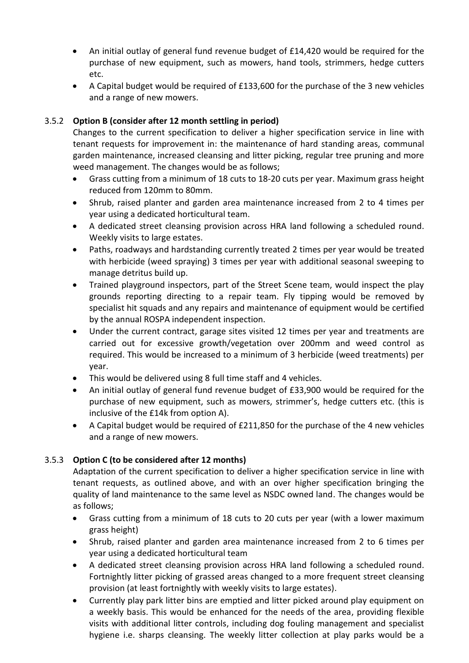- An initial outlay of general fund revenue budget of £14,420 would be required for the purchase of new equipment, such as mowers, hand tools, strimmers, hedge cutters etc.
- A Capital budget would be required of £133,600 for the purchase of the 3 new vehicles and a range of new mowers.

# 3.5.2 **Option B (consider after 12 month settling in period)**

Changes to the current specification to deliver a higher specification service in line with tenant requests for improvement in: the maintenance of hard standing areas, communal garden maintenance, increased cleansing and litter picking, regular tree pruning and more weed management. The changes would be as follows;

- Grass cutting from a minimum of 18 cuts to 18-20 cuts per year. Maximum grass height reduced from 120mm to 80mm.
- Shrub, raised planter and garden area maintenance increased from 2 to 4 times per year using a dedicated horticultural team.
- A dedicated street cleansing provision across HRA land following a scheduled round. Weekly visits to large estates.
- Paths, roadways and hardstanding currently treated 2 times per year would be treated with herbicide (weed spraying) 3 times per year with additional seasonal sweeping to manage detritus build up.
- Trained playground inspectors, part of the Street Scene team, would inspect the play grounds reporting directing to a repair team. Fly tipping would be removed by specialist hit squads and any repairs and maintenance of equipment would be certified by the annual ROSPA independent inspection.
- Under the current contract, garage sites visited 12 times per year and treatments are carried out for excessive growth/vegetation over 200mm and weed control as required. This would be increased to a minimum of 3 herbicide (weed treatments) per year.
- This would be delivered using 8 full time staff and 4 vehicles.
- An initial outlay of general fund revenue budget of £33,900 would be required for the purchase of new equipment, such as mowers, strimmer's, hedge cutters etc. (this is inclusive of the £14k from option A).
- A Capital budget would be required of £211,850 for the purchase of the 4 new vehicles and a range of new mowers.

# 3.5.3 **Option C (to be considered after 12 months)**

Adaptation of the current specification to deliver a higher specification service in line with tenant requests, as outlined above, and with an over higher specification bringing the quality of land maintenance to the same level as NSDC owned land. The changes would be as follows;

- Grass cutting from a minimum of 18 cuts to 20 cuts per year (with a lower maximum grass height)
- Shrub, raised planter and garden area maintenance increased from 2 to 6 times per year using a dedicated horticultural team
- A dedicated street cleansing provision across HRA land following a scheduled round. Fortnightly litter picking of grassed areas changed to a more frequent street cleansing provision (at least fortnightly with weekly visits to large estates).
- Currently play park litter bins are emptied and litter picked around play equipment on a weekly basis. This would be enhanced for the needs of the area, providing flexible visits with additional litter controls, including dog fouling management and specialist hygiene i.e. sharps cleansing. The weekly litter collection at play parks would be a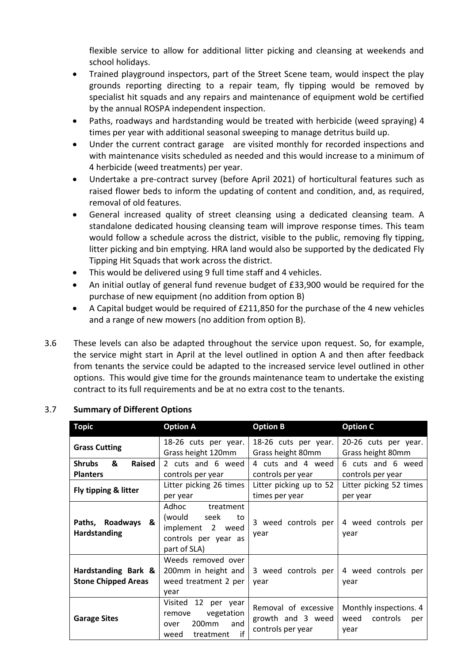flexible service to allow for additional litter picking and cleansing at weekends and school holidays.

- Trained playground inspectors, part of the Street Scene team, would inspect the play grounds reporting directing to a repair team, fly tipping would be removed by specialist hit squads and any repairs and maintenance of equipment wold be certified by the annual ROSPA independent inspection.
- Paths, roadways and hardstanding would be treated with herbicide (weed spraying) 4 times per year with additional seasonal sweeping to manage detritus build up.
- Under the current contract garage are visited monthly for recorded inspections and with maintenance visits scheduled as needed and this would increase to a minimum of 4 herbicide (weed treatments) per year.
- Undertake a pre-contract survey (before April 2021) of horticultural features such as raised flower beds to inform the updating of content and condition, and, as required, removal of old features.
- General increased quality of street cleansing using a dedicated cleansing team. A standalone dedicated housing cleansing team will improve response times. This team would follow a schedule across the district, visible to the public, removing fly tipping, litter picking and bin emptying. HRA land would also be supported by the dedicated Fly Tipping Hit Squads that work across the district.
- This would be delivered using 9 full time staff and 4 vehicles.
- An initial outlay of general fund revenue budget of £33,900 would be required for the purchase of new equipment (no addition from option B)
- A Capital budget would be required of £211,850 for the purchase of the 4 new vehicles and a range of new mowers (no addition from option B).
- 3.6 These levels can also be adapted throughout the service upon request. So, for example, the service might start in April at the level outlined in option A and then after feedback from tenants the service could be adapted to the increased service level outlined in other options. This would give time for the grounds maintenance team to undertake the existing contract to its full requirements and be at no extra cost to the tenants.

| <b>Topic</b>                                      | <b>Option A</b>                                                                                               | <b>Option B</b>                                                | <b>Option C</b>                                        |  |
|---------------------------------------------------|---------------------------------------------------------------------------------------------------------------|----------------------------------------------------------------|--------------------------------------------------------|--|
| <b>Grass Cutting</b>                              | 18-26 cuts per year.<br>Grass height 120mm                                                                    | 18-26 cuts per year.<br>Grass height 80mm                      | 20-26 cuts per year.<br>Grass height 80mm              |  |
| &<br>Raised<br><b>Shrubs</b><br><b>Planters</b>   | 2 cuts and 6 weed<br>controls per year                                                                        | 4 cuts and 4 weed<br>controls per year                         | 6 cuts and 6 weed<br>controls per year                 |  |
| Fly tipping & litter                              | Litter picking 26 times<br>per year                                                                           | Litter picking up to 52<br>times per year                      | Litter picking 52 times<br>per year                    |  |
| Paths, Roadways<br>&<br><b>Hardstanding</b>       | Adhoc<br>treatment<br>(would seek<br>to<br>implement 2 weed<br>controls per year as<br>part of SLA)           | 3 weed controls per<br>year                                    | 4 weed controls per<br>year                            |  |
| Hardstanding Bark &<br><b>Stone Chipped Areas</b> | Weeds removed over<br>200mm in height and<br>weed treatment 2 per<br>vear                                     | 3 weed controls per<br>year                                    | 4 weed controls per<br>year                            |  |
| <b>Garage Sites</b>                               | Visited<br>12 per year<br>vegetation<br>remove<br>200 <sub>mm</sub><br>and<br>over<br>if<br>treatment<br>weed | Removal of excessive<br>growth and 3 weed<br>controls per year | Monthly inspections. 4<br>weed controls<br>per<br>year |  |

# 3.7 **Summary of Different Options**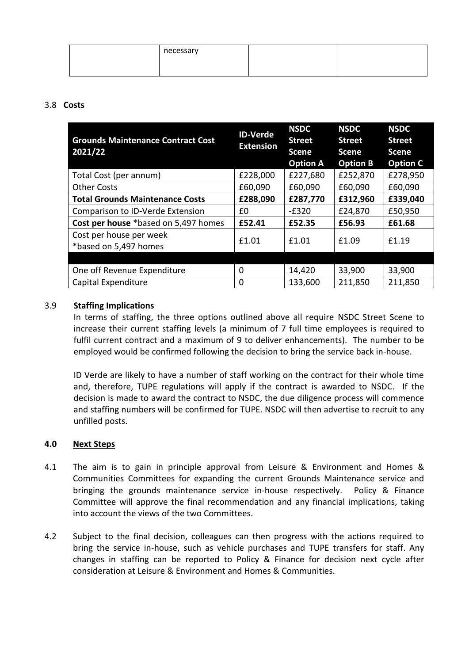| necessary |  |
|-----------|--|
|           |  |

## 3.8 **Costs**

| <b>Grounds Maintenance Contract Cost</b><br>2021/22 | <b>ID-Verde</b><br><b>Extension</b> | <b>NSDC</b><br><b>Street</b><br><b>Scene</b><br><b>Option A</b> | <b>NSDC</b><br><b>Street</b><br>Scene<br><b>Option B</b> | <b>NSDC</b><br><b>Street</b><br><b>Scene</b><br><b>Option C</b> |
|-----------------------------------------------------|-------------------------------------|-----------------------------------------------------------------|----------------------------------------------------------|-----------------------------------------------------------------|
| Total Cost (per annum)                              | £228,000                            | £227,680                                                        | £252,870                                                 | £278,950                                                        |
| <b>Other Costs</b>                                  | £60,090                             | £60,090                                                         | £60,090                                                  | £60,090                                                         |
| <b>Total Grounds Maintenance Costs</b>              | £288,090                            | £287,770                                                        | £312,960                                                 | £339,040                                                        |
| Comparison to ID-Verde Extension                    | £0                                  | $-£320$                                                         | £24,870                                                  | £50,950                                                         |
| Cost per house *based on 5,497 homes                | £52.41                              | £52.35                                                          | £56.93                                                   | £61.68                                                          |
| Cost per house per week<br>*based on 5,497 homes    | £1.01                               | £1.01                                                           | £1.09                                                    | £1.19                                                           |
|                                                     |                                     |                                                                 |                                                          |                                                                 |
| One off Revenue Expenditure                         | 0                                   | 14,420                                                          | 33,900                                                   | 33,900                                                          |
| Capital Expenditure                                 | 0                                   | 133,600                                                         | 211,850                                                  | 211,850                                                         |

# 3.9 **Staffing Implications**

In terms of staffing, the three options outlined above all require NSDC Street Scene to increase their current staffing levels (a minimum of 7 full time employees is required to fulfil current contract and a maximum of 9 to deliver enhancements). The number to be employed would be confirmed following the decision to bring the service back in-house.

ID Verde are likely to have a number of staff working on the contract for their whole time and, therefore, TUPE regulations will apply if the contract is awarded to NSDC. If the decision is made to award the contract to NSDC, the due diligence process will commence and staffing numbers will be confirmed for TUPE. NSDC will then advertise to recruit to any unfilled posts.

### **4.0 Next Steps**

- 4.1 The aim is to gain in principle approval from Leisure & Environment and Homes & Communities Committees for expanding the current Grounds Maintenance service and bringing the grounds maintenance service in-house respectively. Policy & Finance Committee will approve the final recommendation and any financial implications, taking into account the views of the two Committees.
- 4.2 Subject to the final decision, colleagues can then progress with the actions required to bring the service in-house, such as vehicle purchases and TUPE transfers for staff. Any changes in staffing can be reported to Policy & Finance for decision next cycle after consideration at Leisure & Environment and Homes & Communities.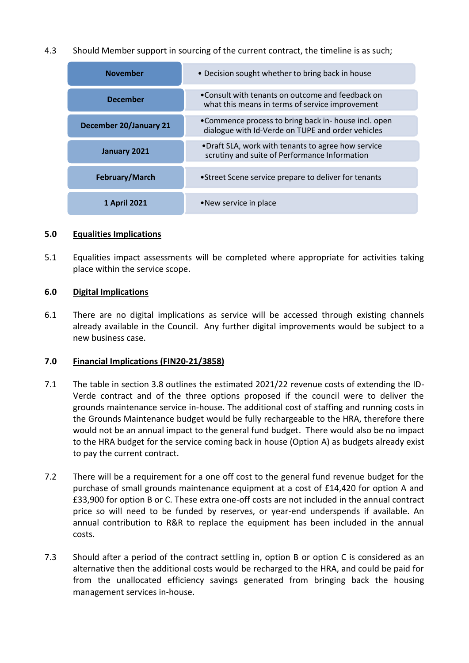4.3 Should Member support in sourcing of the current contract, the timeline is as such;

| <b>November</b>               | • Decision sought whether to bring back in house                                                          |  |
|-------------------------------|-----------------------------------------------------------------------------------------------------------|--|
| <b>December</b>               | •Consult with tenants on outcome and feedback on<br>what this means in terms of service improvement       |  |
| <b>December 20/January 21</b> | •Commence process to bring back in- house incl. open<br>dialogue with Id-Verde on TUPE and order vehicles |  |
| January 2021                  | •Draft SLA, work with tenants to agree how service<br>scrutiny and suite of Performance Information       |  |
| February/March                | • Street Scene service prepare to deliver for tenants                                                     |  |
| 1 April 2021                  | • New service in place                                                                                    |  |

### **5.0 Equalities Implications**

5.1 Equalities impact assessments will be completed where appropriate for activities taking place within the service scope.

### **6.0 Digital Implications**

6.1 There are no digital implications as service will be accessed through existing channels already available in the Council. Any further digital improvements would be subject to a new business case.

### **7.0 Financial Implications (FIN20-21/3858)**

- 7.1 The table in section 3.8 outlines the estimated 2021/22 revenue costs of extending the ID-Verde contract and of the three options proposed if the council were to deliver the grounds maintenance service in-house. The additional cost of staffing and running costs in the Grounds Maintenance budget would be fully rechargeable to the HRA, therefore there would not be an annual impact to the general fund budget. There would also be no impact to the HRA budget for the service coming back in house (Option A) as budgets already exist to pay the current contract.
- 7.2 There will be a requirement for a one off cost to the general fund revenue budget for the purchase of small grounds maintenance equipment at a cost of £14,420 for option A and £33,900 for option B or C. These extra one-off costs are not included in the annual contract price so will need to be funded by reserves, or year-end underspends if available. An annual contribution to R&R to replace the equipment has been included in the annual costs.
- 7.3 Should after a period of the contract settling in, option B or option C is considered as an alternative then the additional costs would be recharged to the HRA, and could be paid for from the unallocated efficiency savings generated from bringing back the housing management services in-house.